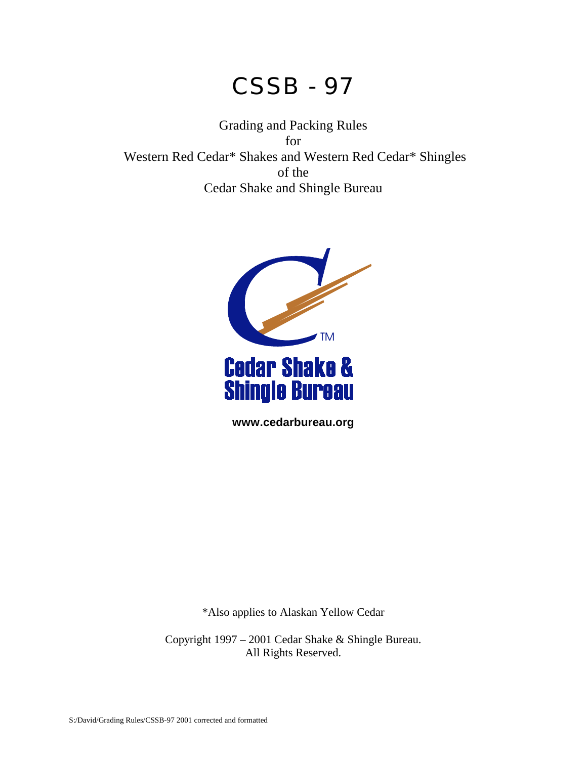# CSSB - 97

Grading and Packing Rules for Western Red Cedar\* Shakes and Western Red Cedar\* Shingles of the Cedar Shake and Shingle Bureau



**www.cedarbureau.org**

\*Also applies to Alaskan Yellow Cedar

Copyright 1997 – 2001 Cedar Shake & Shingle Bureau. All Rights Reserved.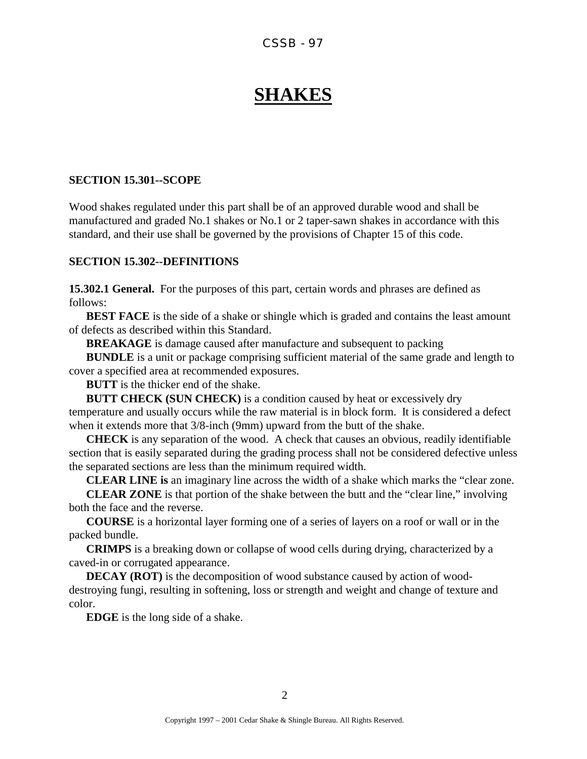# **SHAKES**

## **SECTION 15.301--SCOPE**

Wood shakes regulated under this part shall be of an approved durable wood and shall be manufactured and graded No.1 shakes or No.1 or 2 taper-sawn shakes in accordance with this standard, and their use shall be governed by the provisions of Chapter 15 of this code.

### **SECTION 15.302--DEFINITIONS**

**15.302.1 General.** For the purposes of this part, certain words and phrases are defined as follows:

**BEST FACE** is the side of a shake or shingle which is graded and contains the least amount of defects as described within this Standard.

**BREAKAGE** is damage caused after manufacture and subsequent to packing

**BUNDLE** is a unit or package comprising sufficient material of the same grade and length to cover a specified area at recommended exposures.

**BUTT** is the thicker end of the shake.

**BUTT CHECK (SUN CHECK)** is a condition caused by heat or excessively dry temperature and usually occurs while the raw material is in block form. It is considered a defect when it extends more that 3/8-inch (9mm) upward from the butt of the shake.

**CHECK** is any separation of the wood. A check that causes an obvious, readily identifiable section that is easily separated during the grading process shall not be considered defective unless the separated sections are less than the minimum required width.

**CLEAR LINE is** an imaginary line across the width of a shake which marks the "clear zone.

**CLEAR ZONE** is that portion of the shake between the butt and the "clear line," involving both the face and the reverse.

**COURSE** is a horizontal layer forming one of a series of layers on a roof or wall or in the packed bundle.

**CRIMPS** is a breaking down or collapse of wood cells during drying, characterized by a caved-in or corrugated appearance.

**DECAY (ROT)** is the decomposition of wood substance caused by action of wooddestroying fungi, resulting in softening, loss or strength and weight and change of texture and color.

**EDGE** is the long side of a shake.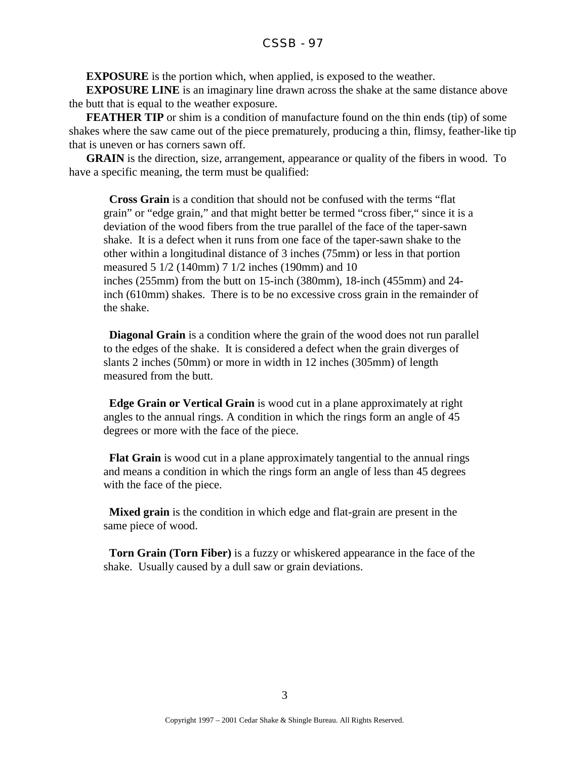**EXPOSURE** is the portion which, when applied, is exposed to the weather.

**EXPOSURE LINE** is an imaginary line drawn across the shake at the same distance above the butt that is equal to the weather exposure.

**FEATHER TIP** or shim is a condition of manufacture found on the thin ends (tip) of some shakes where the saw came out of the piece prematurely, producing a thin, flimsy, feather-like tip that is uneven or has corners sawn off.

**GRAIN** is the direction, size, arrangement, appearance or quality of the fibers in wood. To have a specific meaning, the term must be qualified:

 **Cross Grain** is a condition that should not be confused with the terms "flat grain" or "edge grain," and that might better be termed "cross fiber," since it is a deviation of the wood fibers from the true parallel of the face of the taper-sawn shake. It is a defect when it runs from one face of the taper-sawn shake to the other within a longitudinal distance of 3 inches (75mm) or less in that portion measured 5 1/2 (140mm) 7 1/2 inches (190mm) and 10 inches (255mm) from the butt on 15-inch (380mm), 18-inch (455mm) and 24 inch (610mm) shakes. There is to be no excessive cross grain in the remainder of the shake.

**Diagonal Grain** is a condition where the grain of the wood does not run parallel to the edges of the shake. It is considered a defect when the grain diverges of slants 2 inches (50mm) or more in width in 12 inches (305mm) of length measured from the butt.

 **Edge Grain or Vertical Grain** is wood cut in a plane approximately at right angles to the annual rings. A condition in which the rings form an angle of 45 degrees or more with the face of the piece.

 **Flat Grain** is wood cut in a plane approximately tangential to the annual rings and means a condition in which the rings form an angle of less than 45 degrees with the face of the piece.

 **Mixed grain** is the condition in which edge and flat-grain are present in the same piece of wood.

 **Torn Grain (Torn Fiber)** is a fuzzy or whiskered appearance in the face of the shake. Usually caused by a dull saw or grain deviations.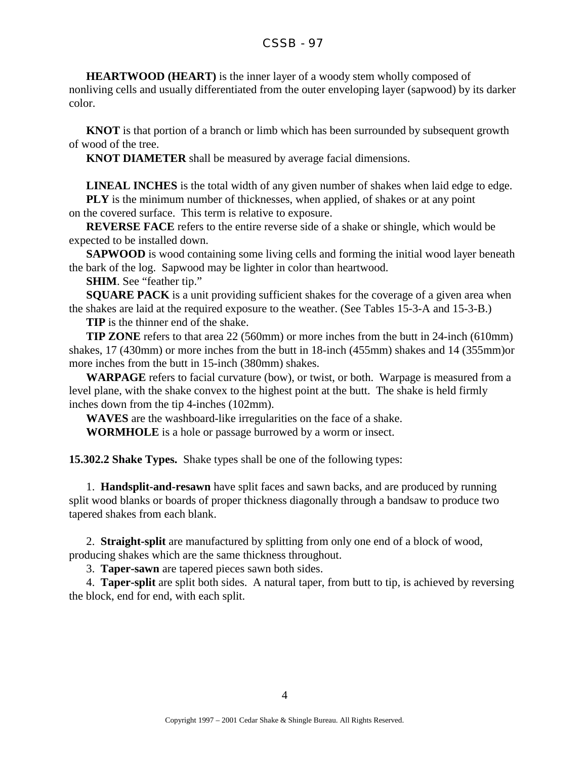**HEARTWOOD (HEART)** is the inner layer of a woody stem wholly composed of nonliving cells and usually differentiated from the outer enveloping layer (sapwood) by its darker color.

**KNOT** is that portion of a branch or limb which has been surrounded by subsequent growth of wood of the tree.

**KNOT DIAMETER** shall be measured by average facial dimensions.

**LINEAL INCHES** is the total width of any given number of shakes when laid edge to edge. **PLY** is the minimum number of thicknesses, when applied, of shakes or at any point on the covered surface. This term is relative to exposure.

**REVERSE FACE** refers to the entire reverse side of a shake or shingle, which would be expected to be installed down.

**SAPWOOD** is wood containing some living cells and forming the initial wood layer beneath the bark of the log. Sapwood may be lighter in color than heartwood.

**SHIM**. See "feather tip."

**SQUARE PACK** is a unit providing sufficient shakes for the coverage of a given area when the shakes are laid at the required exposure to the weather. (See Tables 15-3-A and 15-3-B.)

**TIP** is the thinner end of the shake.

**TIP ZONE** refers to that area 22 (560mm) or more inches from the butt in 24-inch (610mm) shakes, 17 (430mm) or more inches from the butt in 18-inch (455mm) shakes and 14 (355mm)or more inches from the butt in 15-inch (380mm) shakes.

**WARPAGE** refers to facial curvature (bow), or twist, or both. Warpage is measured from a level plane, with the shake convex to the highest point at the butt. The shake is held firmly inches down from the tip 4-inches (102mm).

**WAVES** are the washboard-like irregularities on the face of a shake.

**WORMHOLE** is a hole or passage burrowed by a worm or insect.

**15.302.2 Shake Types.** Shake types shall be one of the following types:

1. **Handsplit-and-resawn** have split faces and sawn backs, and are produced by running split wood blanks or boards of proper thickness diagonally through a bandsaw to produce two tapered shakes from each blank.

2. **Straight-split** are manufactured by splitting from only one end of a block of wood, producing shakes which are the same thickness throughout.

3. **Taper-sawn** are tapered pieces sawn both sides.

 4. **Taper-split** are split both sides. A natural taper, from butt to tip, is achieved by reversing the block, end for end, with each split.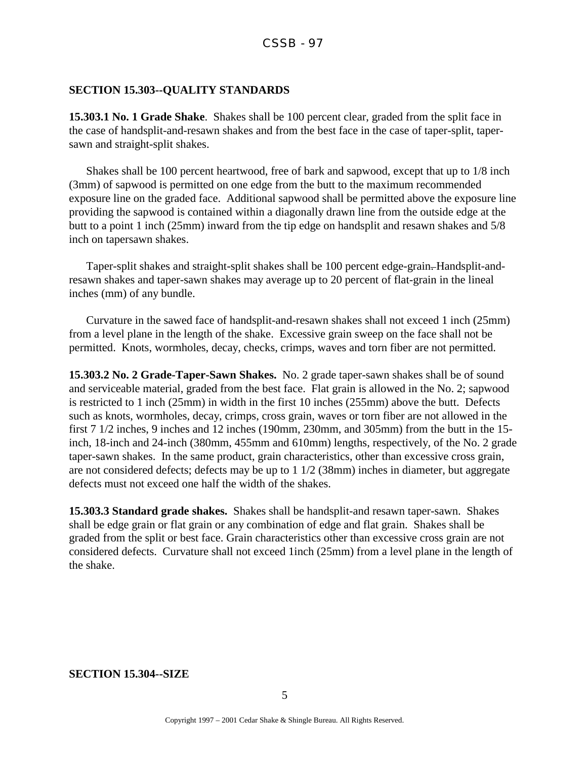### **SECTION 15.303--QUALITY STANDARDS**

**15.303.1 No. 1 Grade Shake**. Shakes shall be 100 percent clear, graded from the split face in the case of handsplit-and-resawn shakes and from the best face in the case of taper-split, tapersawn and straight-split shakes.

Shakes shall be 100 percent heartwood, free of bark and sapwood, except that up to 1/8 inch (3mm) of sapwood is permitted on one edge from the butt to the maximum recommended exposure line on the graded face. Additional sapwood shall be permitted above the exposure line providing the sapwood is contained within a diagonally drawn line from the outside edge at the butt to a point 1 inch (25mm) inward from the tip edge on handsplit and resawn shakes and 5/8 inch on tapersawn shakes.

Taper-split shakes and straight-split shakes shall be 100 percent edge-grain. Handsplit-andresawn shakes and taper-sawn shakes may average up to 20 percent of flat-grain in the lineal inches (mm) of any bundle.

Curvature in the sawed face of handsplit-and-resawn shakes shall not exceed 1 inch (25mm) from a level plane in the length of the shake. Excessive grain sweep on the face shall not be permitted. Knots, wormholes, decay, checks, crimps, waves and torn fiber are not permitted.

**15.303.2 No. 2 Grade-Taper-Sawn Shakes.** No. 2 grade taper-sawn shakes shall be of sound and serviceable material, graded from the best face. Flat grain is allowed in the No. 2; sapwood is restricted to 1 inch (25mm) in width in the first 10 inches (255mm) above the butt. Defects such as knots, wormholes, decay, crimps, cross grain, waves or torn fiber are not allowed in the first 7 1/2 inches, 9 inches and 12 inches (190mm, 230mm, and 305mm) from the butt in the 15 inch, 18-inch and 24-inch (380mm, 455mm and 610mm) lengths, respectively, of the No. 2 grade taper-sawn shakes. In the same product, grain characteristics, other than excessive cross grain, are not considered defects; defects may be up to 1 1/2 (38mm) inches in diameter, but aggregate defects must not exceed one half the width of the shakes.

**15.303.3 Standard grade shakes.** Shakes shall be handsplit-and resawn taper-sawn. Shakes shall be edge grain or flat grain or any combination of edge and flat grain. Shakes shall be graded from the split or best face. Grain characteristics other than excessive cross grain are not considered defects. Curvature shall not exceed 1inch (25mm) from a level plane in the length of the shake.

### **SECTION 15.304--SIZE**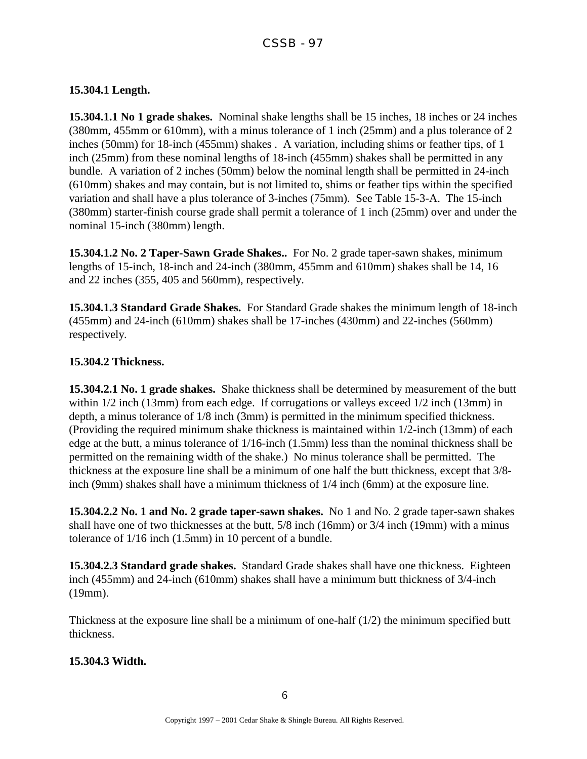# **15.304.1 Length.**

**15.304.1.1 No 1 grade shakes.** Nominal shake lengths shall be 15 inches, 18 inches or 24 inches (380mm, 455mm or 610mm), with a minus tolerance of 1 inch (25mm) and a plus tolerance of 2 inches (50mm) for 18-inch (455mm) shakes . A variation, including shims or feather tips, of 1 inch (25mm) from these nominal lengths of 18-inch (455mm) shakes shall be permitted in any bundle. A variation of 2 inches (50mm) below the nominal length shall be permitted in 24-inch (610mm) shakes and may contain, but is not limited to, shims or feather tips within the specified variation and shall have a plus tolerance of 3-inches (75mm). See Table 15-3-A. The 15-inch (380mm) starter-finish course grade shall permit a tolerance of 1 inch (25mm) over and under the nominal 15-inch (380mm) length.

**15.304.1.2 No. 2 Taper-Sawn Grade Shakes..** For No. 2 grade taper-sawn shakes, minimum lengths of 15-inch, 18-inch and 24-inch (380mm, 455mm and 610mm) shakes shall be 14, 16 and 22 inches (355, 405 and 560mm), respectively.

**15.304.1.3 Standard Grade Shakes.** For Standard Grade shakes the minimum length of 18-inch (455mm) and 24-inch (610mm) shakes shall be 17-inches (430mm) and 22-inches (560mm) respectively.

## **15.304.2 Thickness.**

**15.304.2.1 No. 1 grade shakes.** Shake thickness shall be determined by measurement of the butt within  $1/2$  inch (13mm) from each edge. If corrugations or valleys exceed  $1/2$  inch (13mm) in depth, a minus tolerance of 1/8 inch (3mm) is permitted in the minimum specified thickness. (Providing the required minimum shake thickness is maintained within 1/2-inch (13mm) of each edge at the butt, a minus tolerance of 1/16-inch (1.5mm) less than the nominal thickness shall be permitted on the remaining width of the shake.) No minus tolerance shall be permitted. The thickness at the exposure line shall be a minimum of one half the butt thickness, except that 3/8 inch (9mm) shakes shall have a minimum thickness of 1/4 inch (6mm) at the exposure line.

**15.304.2.2 No. 1 and No. 2 grade taper-sawn shakes.** No 1 and No. 2 grade taper-sawn shakes shall have one of two thicknesses at the butt, 5/8 inch (16mm) or 3/4 inch (19mm) with a minus tolerance of 1/16 inch (1.5mm) in 10 percent of a bundle.

**15.304.2.3 Standard grade shakes.** Standard Grade shakes shall have one thickness. Eighteen inch (455mm) and 24-inch (610mm) shakes shall have a minimum butt thickness of 3/4-inch (19mm).

Thickness at the exposure line shall be a minimum of one-half  $(1/2)$  the minimum specified butt thickness.

# **15.304.3 Width.**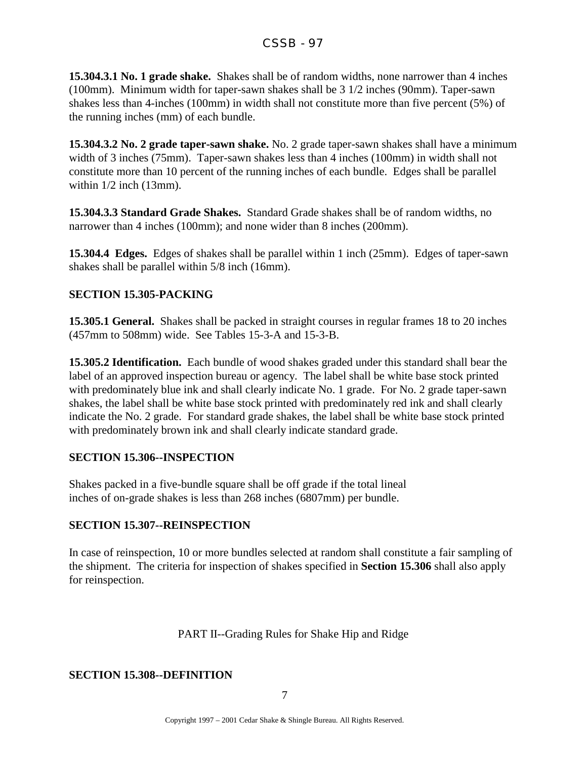**15.304.3.1 No. 1 grade shake.** Shakes shall be of random widths, none narrower than 4 inches (100mm). Minimum width for taper-sawn shakes shall be 3 1/2 inches (90mm). Taper-sawn shakes less than 4-inches (100mm) in width shall not constitute more than five percent (5%) of the running inches (mm) of each bundle.

**15.304.3.2 No. 2 grade taper-sawn shake.** No. 2 grade taper-sawn shakes shall have a minimum width of 3 inches (75mm). Taper-sawn shakes less than 4 inches (100mm) in width shall not constitute more than 10 percent of the running inches of each bundle. Edges shall be parallel within 1/2 inch (13mm).

**15.304.3.3 Standard Grade Shakes.** Standard Grade shakes shall be of random widths, no narrower than 4 inches (100mm); and none wider than 8 inches (200mm).

**15.304.4 Edges.** Edges of shakes shall be parallel within 1 inch (25mm). Edges of taper-sawn shakes shall be parallel within 5/8 inch (16mm).

# **SECTION 15.305-PACKING**

**15.305.1 General.** Shakes shall be packed in straight courses in regular frames 18 to 20 inches (457mm to 508mm) wide. See Tables 15-3-A and 15-3-B.

**15.305.2 Identification.** Each bundle of wood shakes graded under this standard shall bear the label of an approved inspection bureau or agency. The label shall be white base stock printed with predominately blue ink and shall clearly indicate No. 1 grade. For No. 2 grade taper-sawn shakes, the label shall be white base stock printed with predominately red ink and shall clearly indicate the No. 2 grade. For standard grade shakes, the label shall be white base stock printed with predominately brown ink and shall clearly indicate standard grade.

# **SECTION 15.306--INSPECTION**

Shakes packed in a five-bundle square shall be off grade if the total lineal inches of on-grade shakes is less than 268 inches (6807mm) per bundle.

# **SECTION 15.307--REINSPECTION**

In case of reinspection, 10 or more bundles selected at random shall constitute a fair sampling of the shipment. The criteria for inspection of shakes specified in **Section 15.306** shall also apply for reinspection.

### PART II--Grading Rules for Shake Hip and Ridge

### **SECTION 15.308--DEFINITION**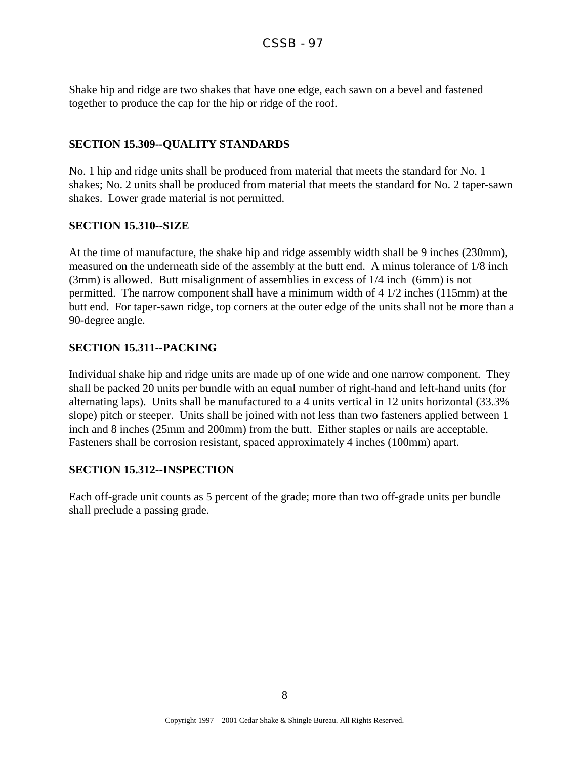Shake hip and ridge are two shakes that have one edge, each sawn on a bevel and fastened together to produce the cap for the hip or ridge of the roof.

# **SECTION 15.309--QUALITY STANDARDS**

No. 1 hip and ridge units shall be produced from material that meets the standard for No. 1 shakes; No. 2 units shall be produced from material that meets the standard for No. 2 taper-sawn shakes. Lower grade material is not permitted.

### **SECTION 15.310--SIZE**

At the time of manufacture, the shake hip and ridge assembly width shall be 9 inches (230mm), measured on the underneath side of the assembly at the butt end. A minus tolerance of 1/8 inch (3mm) is allowed. Butt misalignment of assemblies in excess of 1/4 inch (6mm) is not permitted. The narrow component shall have a minimum width of 4 1/2 inches (115mm) at the butt end. For taper-sawn ridge, top corners at the outer edge of the units shall not be more than a 90-degree angle.

## **SECTION 15.311--PACKING**

Individual shake hip and ridge units are made up of one wide and one narrow component. They shall be packed 20 units per bundle with an equal number of right-hand and left-hand units (for alternating laps). Units shall be manufactured to a 4 units vertical in 12 units horizontal (33.3% slope) pitch or steeper. Units shall be joined with not less than two fasteners applied between 1 inch and 8 inches (25mm and 200mm) from the butt. Either staples or nails are acceptable. Fasteners shall be corrosion resistant, spaced approximately 4 inches (100mm) apart.

### **SECTION 15.312--INSPECTION**

Each off-grade unit counts as 5 percent of the grade; more than two off-grade units per bundle shall preclude a passing grade.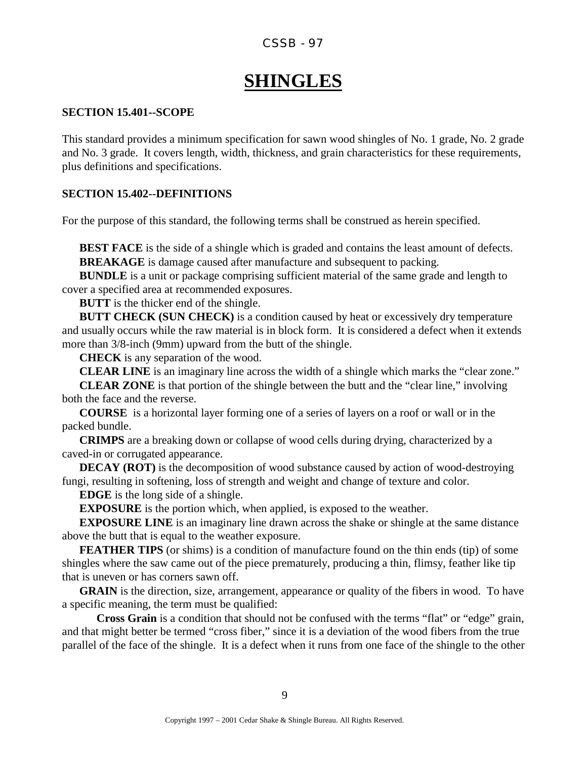# **SHINGLES**

#### **SECTION 15.401--SCOPE**

This standard provides a minimum specification for sawn wood shingles of No. 1 grade, No. 2 grade and No. 3 grade. It covers length, width, thickness, and grain characteristics for these requirements, plus definitions and specifications.

### **SECTION 15.402--DEFINITIONS**

For the purpose of this standard, the following terms shall be construed as herein specified.

**BEST FACE** is the side of a shingle which is graded and contains the least amount of defects. **BREAKAGE** is damage caused after manufacture and subsequent to packing.

**BUNDLE** is a unit or package comprising sufficient material of the same grade and length to cover a specified area at recommended exposures.

**BUTT** is the thicker end of the shingle.

**BUTT CHECK (SUN CHECK)** is a condition caused by heat or excessively dry temperature and usually occurs while the raw material is in block form. It is considered a defect when it extends more than 3/8-inch (9mm) upward from the butt of the shingle.

**CHECK** is any separation of the wood.

**CLEAR LINE** is an imaginary line across the width of a shingle which marks the "clear zone."

**CLEAR ZONE** is that portion of the shingle between the butt and the "clear line," involving both the face and the reverse.

**COURSE** is a horizontal layer forming one of a series of layers on a roof or wall or in the packed bundle.

**CRIMPS** are a breaking down or collapse of wood cells during drying, characterized by a caved-in or corrugated appearance.

**DECAY (ROT)** is the decomposition of wood substance caused by action of wood-destroying fungi, resulting in softening, loss of strength and weight and change of texture and color.

**EDGE** is the long side of a shingle.

**EXPOSURE** is the portion which, when applied, is exposed to the weather.

**EXPOSURE LINE** is an imaginary line drawn across the shake or shingle at the same distance above the butt that is equal to the weather exposure.

**FEATHER TIPS** (or shims) is a condition of manufacture found on the thin ends (tip) of some shingles where the saw came out of the piece prematurely, producing a thin, flimsy, feather like tip that is uneven or has corners sawn off.

**GRAIN** is the direction, size, arrangement, appearance or quality of the fibers in wood. To have a specific meaning, the term must be qualified:

**Cross Grain** is a condition that should not be confused with the terms "flat" or "edge" grain, and that might better be termed "cross fiber," since it is a deviation of the wood fibers from the true parallel of the face of the shingle. It is a defect when it runs from one face of the shingle to the other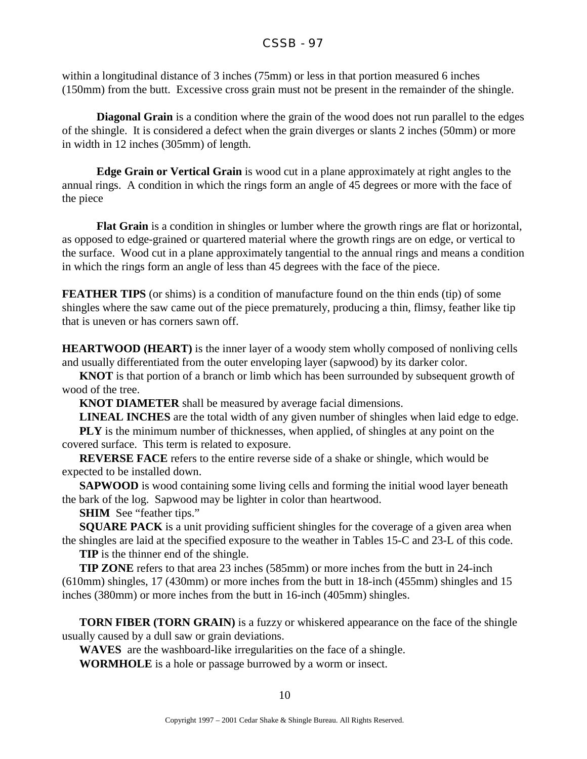within a longitudinal distance of 3 inches (75mm) or less in that portion measured 6 inches (150mm) from the butt. Excessive cross grain must not be present in the remainder of the shingle.

**Diagonal Grain** is a condition where the grain of the wood does not run parallel to the edges of the shingle. It is considered a defect when the grain diverges or slants 2 inches (50mm) or more in width in 12 inches (305mm) of length.

**Edge Grain or Vertical Grain** is wood cut in a plane approximately at right angles to the annual rings. A condition in which the rings form an angle of 45 degrees or more with the face of the piece

**Flat Grain** is a condition in shingles or lumber where the growth rings are flat or horizontal, as opposed to edge-grained or quartered material where the growth rings are on edge, or vertical to the surface. Wood cut in a plane approximately tangential to the annual rings and means a condition in which the rings form an angle of less than 45 degrees with the face of the piece.

**FEATHER TIPS** (or shims) is a condition of manufacture found on the thin ends (tip) of some shingles where the saw came out of the piece prematurely, producing a thin, flimsy, feather like tip that is uneven or has corners sawn off.

**HEARTWOOD (HEART)** is the inner layer of a woody stem wholly composed of nonliving cells and usually differentiated from the outer enveloping layer (sapwood) by its darker color.

**KNOT** is that portion of a branch or limb which has been surrounded by subsequent growth of wood of the tree.

**KNOT DIAMETER** shall be measured by average facial dimensions.

**LINEAL INCHES** are the total width of any given number of shingles when laid edge to edge.

**PLY** is the minimum number of thicknesses, when applied, of shingles at any point on the covered surface. This term is related to exposure.

**REVERSE FACE** refers to the entire reverse side of a shake or shingle, which would be expected to be installed down.

**SAPWOOD** is wood containing some living cells and forming the initial wood layer beneath the bark of the log. Sapwood may be lighter in color than heartwood.

**SHIM** See "feather tips."

**SQUARE PACK** is a unit providing sufficient shingles for the coverage of a given area when the shingles are laid at the specified exposure to the weather in Tables 15-C and 23-L of this code.

**TIP** is the thinner end of the shingle.

**TIP ZONE** refers to that area 23 inches (585mm) or more inches from the butt in 24-inch (610mm) shingles, 17 (430mm) or more inches from the butt in 18-inch (455mm) shingles and 15 inches (380mm) or more inches from the butt in 16-inch (405mm) shingles.

**TORN FIBER (TORN GRAIN)** is a fuzzy or whiskered appearance on the face of the shingle usually caused by a dull saw or grain deviations.

**WAVES** are the washboard-like irregularities on the face of a shingle.

**WORMHOLE** is a hole or passage burrowed by a worm or insect.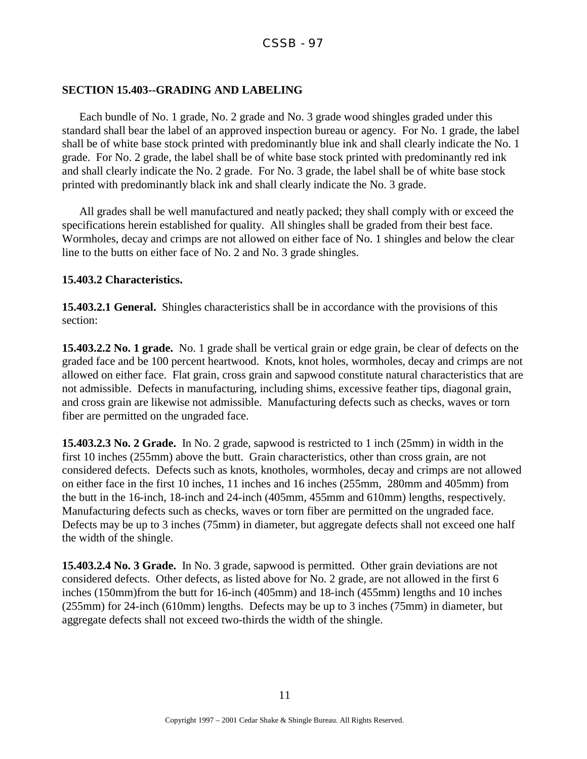### **SECTION 15.403--GRADING AND LABELING**

Each bundle of No. 1 grade, No. 2 grade and No. 3 grade wood shingles graded under this standard shall bear the label of an approved inspection bureau or agency. For No. 1 grade, the label shall be of white base stock printed with predominantly blue ink and shall clearly indicate the No. 1 grade. For No. 2 grade, the label shall be of white base stock printed with predominantly red ink and shall clearly indicate the No. 2 grade. For No. 3 grade, the label shall be of white base stock printed with predominantly black ink and shall clearly indicate the No. 3 grade.

All grades shall be well manufactured and neatly packed; they shall comply with or exceed the specifications herein established for quality. All shingles shall be graded from their best face. Wormholes, decay and crimps are not allowed on either face of No. 1 shingles and below the clear line to the butts on either face of No. 2 and No. 3 grade shingles.

#### **15.403.2 Characteristics.**

**15.403.2.1 General.** Shingles characteristics shall be in accordance with the provisions of this section:

**15.403.2.2 No. 1 grade.** No. 1 grade shall be vertical grain or edge grain, be clear of defects on the graded face and be 100 percent heartwood. Knots, knot holes, wormholes, decay and crimps are not allowed on either face. Flat grain, cross grain and sapwood constitute natural characteristics that are not admissible. Defects in manufacturing, including shims, excessive feather tips, diagonal grain, and cross grain are likewise not admissible. Manufacturing defects such as checks, waves or torn fiber are permitted on the ungraded face.

**15.403.2.3 No. 2 Grade.** In No. 2 grade, sapwood is restricted to 1 inch (25mm) in width in the first 10 inches (255mm) above the butt. Grain characteristics, other than cross grain, are not considered defects. Defects such as knots, knotholes, wormholes, decay and crimps are not allowed on either face in the first 10 inches, 11 inches and 16 inches (255mm, 280mm and 405mm) from the butt in the 16-inch, 18-inch and 24-inch (405mm, 455mm and 610mm) lengths, respectively. Manufacturing defects such as checks, waves or torn fiber are permitted on the ungraded face. Defects may be up to 3 inches (75mm) in diameter, but aggregate defects shall not exceed one half the width of the shingle.

**15.403.2.4 No. 3 Grade.** In No. 3 grade, sapwood is permitted. Other grain deviations are not considered defects. Other defects, as listed above for No. 2 grade, are not allowed in the first 6 inches (150mm)from the butt for 16-inch (405mm) and 18-inch (455mm) lengths and 10 inches (255mm) for 24-inch (610mm) lengths. Defects may be up to 3 inches (75mm) in diameter, but aggregate defects shall not exceed two-thirds the width of the shingle.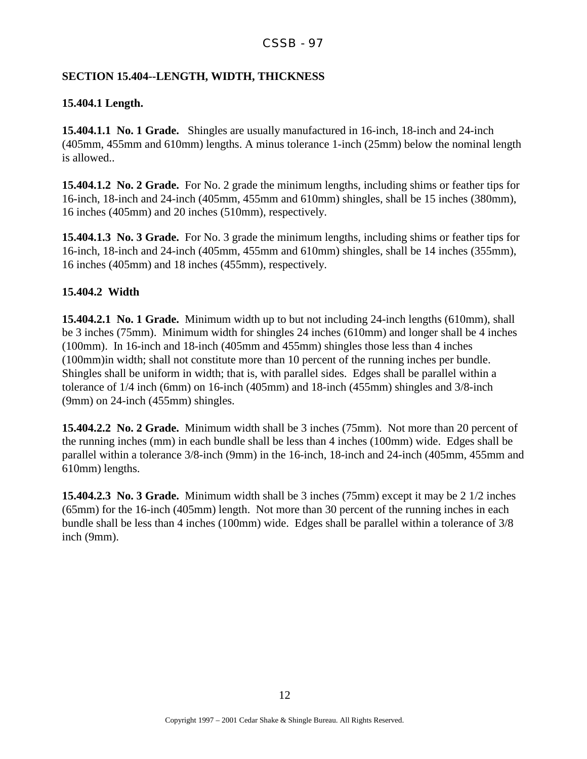# **SECTION 15.404--LENGTH, WIDTH, THICKNESS**

# **15.404.1 Length.**

**15.404.1.1 No. 1 Grade.** Shingles are usually manufactured in 16-inch, 18-inch and 24-inch (405mm, 455mm and 610mm) lengths. A minus tolerance 1-inch (25mm) below the nominal length is allowed..

**15.404.1.2 No. 2 Grade.** For No. 2 grade the minimum lengths, including shims or feather tips for 16-inch, 18-inch and 24-inch (405mm, 455mm and 610mm) shingles, shall be 15 inches (380mm), 16 inches (405mm) and 20 inches (510mm), respectively.

**15.404.1.3 No. 3 Grade.** For No. 3 grade the minimum lengths, including shims or feather tips for 16-inch, 18-inch and 24-inch (405mm, 455mm and 610mm) shingles, shall be 14 inches (355mm), 16 inches (405mm) and 18 inches (455mm), respectively.

# **15.404.2 Width**

**15.404.2.1 No. 1 Grade.** Minimum width up to but not including 24-inch lengths (610mm), shall be 3 inches (75mm). Minimum width for shingles 24 inches (610mm) and longer shall be 4 inches (100mm). In 16-inch and 18-inch (405mm and 455mm) shingles those less than 4 inches (100mm)in width; shall not constitute more than 10 percent of the running inches per bundle. Shingles shall be uniform in width; that is, with parallel sides. Edges shall be parallel within a tolerance of 1/4 inch (6mm) on 16-inch (405mm) and 18-inch (455mm) shingles and 3/8-inch (9mm) on 24-inch (455mm) shingles.

**15.404.2.2 No. 2 Grade.** Minimum width shall be 3 inches (75mm). Not more than 20 percent of the running inches (mm) in each bundle shall be less than 4 inches (100mm) wide. Edges shall be parallel within a tolerance 3/8-inch (9mm) in the 16-inch, 18-inch and 24-inch (405mm, 455mm and 610mm) lengths.

**15.404.2.3 No. 3 Grade.** Minimum width shall be 3 inches (75mm) except it may be 2 1/2 inches (65mm) for the 16-inch (405mm) length. Not more than 30 percent of the running inches in each bundle shall be less than 4 inches (100mm) wide. Edges shall be parallel within a tolerance of 3/8 inch (9mm).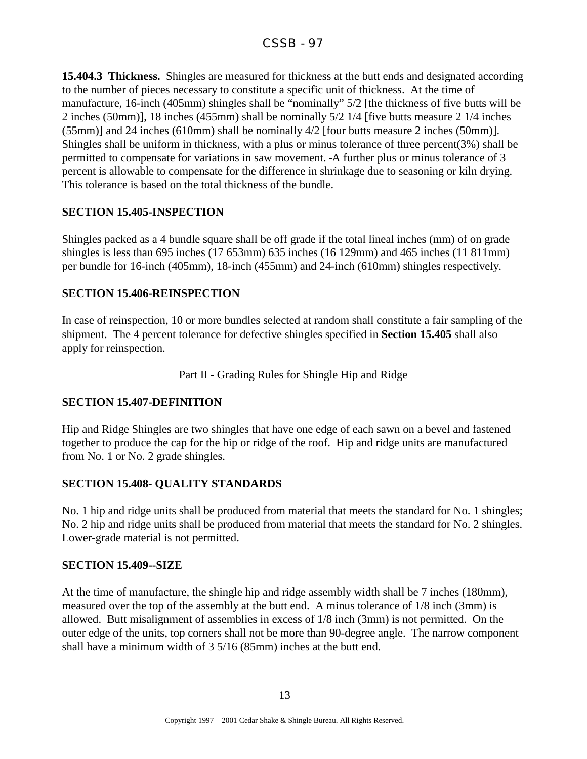**15.404.3 Thickness.** Shingles are measured for thickness at the butt ends and designated according to the number of pieces necessary to constitute a specific unit of thickness. At the time of manufacture, 16-inch (405mm) shingles shall be "nominally" 5/2 [the thickness of five butts will be 2 inches (50mm)], 18 inches (455mm) shall be nominally 5/2 1/4 [five butts measure 2 1/4 inches (55mm)] and 24 inches (610mm) shall be nominally 4/2 [four butts measure 2 inches (50mm)]. Shingles shall be uniform in thickness, with a plus or minus tolerance of three percent(3%) shall be permitted to compensate for variations in saw movement. A further plus or minus tolerance of 3 percent is allowable to compensate for the difference in shrinkage due to seasoning or kiln drying. This tolerance is based on the total thickness of the bundle.

## **SECTION 15.405-INSPECTION**

Shingles packed as a 4 bundle square shall be off grade if the total lineal inches (mm) of on grade shingles is less than 695 inches (17 653mm) 635 inches (16 129mm) and 465 inches (11 811mm) per bundle for 16-inch (405mm), 18-inch (455mm) and 24-inch (610mm) shingles respectively.

## **SECTION 15.406-REINSPECTION**

In case of reinspection, 10 or more bundles selected at random shall constitute a fair sampling of the shipment. The 4 percent tolerance for defective shingles specified in **Section 15.405** shall also apply for reinspection.

Part II - Grading Rules for Shingle Hip and Ridge

# **SECTION 15.407-DEFINITION**

Hip and Ridge Shingles are two shingles that have one edge of each sawn on a bevel and fastened together to produce the cap for the hip or ridge of the roof. Hip and ridge units are manufactured from No. 1 or No. 2 grade shingles.

# **SECTION 15.408- QUALITY STANDARDS**

No. 1 hip and ridge units shall be produced from material that meets the standard for No. 1 shingles; No. 2 hip and ridge units shall be produced from material that meets the standard for No. 2 shingles. Lower-grade material is not permitted.

### **SECTION 15.409--SIZE**

At the time of manufacture, the shingle hip and ridge assembly width shall be 7 inches (180mm), measured over the top of the assembly at the butt end. A minus tolerance of 1/8 inch (3mm) is allowed. Butt misalignment of assemblies in excess of 1/8 inch (3mm) is not permitted. On the outer edge of the units, top corners shall not be more than 90-degree angle. The narrow component shall have a minimum width of 3 5/16 (85mm) inches at the butt end.